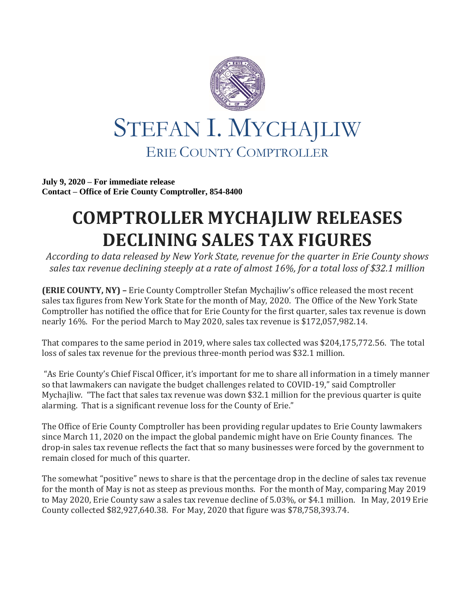

**July 9, 2020 – For immediate release Contact – Office of Erie County Comptroller, 854-8400**

## **COMPTROLLER MYCHAJLIW RELEASES DECLINING SALES TAX FIGURES**

*According to data released by New York State, revenue for the quarter in Erie County shows sales tax revenue declining steeply at a rate of almost 16%, for a total loss of \$32.1 million*

**(ERIE COUNTY, NY) –** Erie County Comptroller Stefan Mychajliw's office released the most recent sales tax figures from New York State for the month of May, 2020. The Office of the New York State Comptroller has notified the office that for Erie County for the first quarter, sales tax revenue is down nearly 16%. For the period March to May 2020, sales tax revenue is \$172,057,982.14.

That compares to the same period in 2019, where sales tax collected was \$204,175,772.56. The total loss of sales tax revenue for the previous three-month period was \$32.1 million.

"As Erie County's Chief Fiscal Officer, it's important for me to share all information in a timely manner so that lawmakers can navigate the budget challenges related to COVID-19," said Comptroller Mychajliw. "The fact that sales tax revenue was down \$32.1 million for the previous quarter is quite alarming. That is a significant revenue loss for the County of Erie."

The Office of Erie County Comptroller has been providing regular updates to Erie County lawmakers since March 11, 2020 on the impact the global pandemic might have on Erie County finances. The drop-in sales tax revenue reflects the fact that so many businesses were forced by the government to remain closed for much of this quarter.

The somewhat "positive" news to share is that the percentage drop in the decline of sales tax revenue for the month of May is not as steep as previous months. For the month of May, comparing May 2019 to May 2020, Erie County saw a sales tax revenue decline of 5.03%, or \$4.1 million. In May, 2019 Erie County collected \$82,927,640.38. For May, 2020 that figure was \$78,758,393.74.